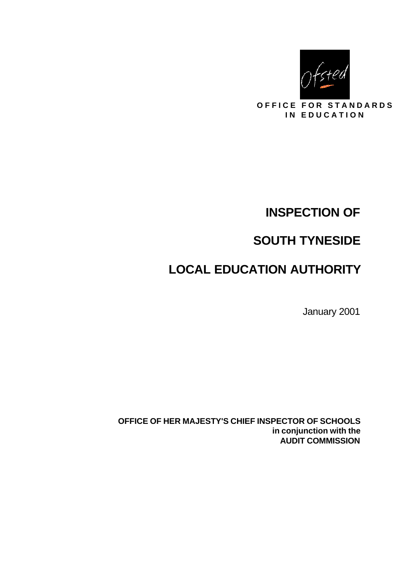

**OFFICE FOR STANDARDS IN EDUCATION** 

# **INSPECTION OF**

# **SOUTH TYNESIDE**

# **LOCAL EDUCATION AUTHORITY**

January 2001

**OFFICE OF HER MAJESTY'S CHIEF INSPECTOR OF SCHOOLS in conjunction with the AUDIT COMMISSION**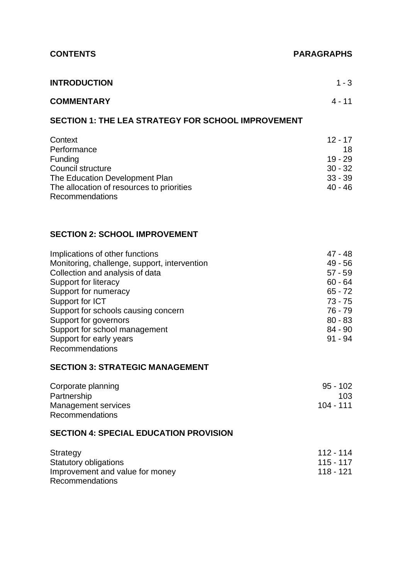#### **CONTENTS PARAGRAPHS**

| <b>INTRODUCTION</b> | $1 - 3$  |
|---------------------|----------|
| <b>COMMENTARY</b>   | $4 - 11$ |

#### **SECTION 1: THE LEA STRATEGY FOR SCHOOL IMPROVEMENT**

| Context                                   | $12 - 17$ |
|-------------------------------------------|-----------|
| Performance                               | 18.       |
| <b>Funding</b>                            | $19 - 29$ |
| Council structure                         | $30 - 32$ |
| The Education Development Plan            | $33 - 39$ |
| The allocation of resources to priorities | $40 - 46$ |
| <b>Recommendations</b>                    |           |

#### **SECTION 2: SCHOOL IMPROVEMENT**

| Implications of other functions              | $47 - 48$ |
|----------------------------------------------|-----------|
| Monitoring, challenge, support, intervention | $49 - 56$ |
| Collection and analysis of data              | $57 - 59$ |
| Support for literacy                         | $60 - 64$ |
| Support for numeracy                         | $65 - 72$ |
| Support for ICT                              | $73 - 75$ |
| Support for schools causing concern          | 76 - 79   |
| Support for governors                        | $80 - 83$ |
| Support for school management                | $84 - 90$ |
| Support for early years                      | $91 - 94$ |
| Recommendations                              |           |

#### **SECTION 3: STRATEGIC MANAGEMENT**

| Corporate planning     | $95 - 102$ |
|------------------------|------------|
| Partnership            | 103        |
| Management services    | 104 - 111  |
| <b>Recommendations</b> |            |

#### **SECTION 4: SPECIAL EDUCATION PROVISION**

| Strategy                        | $112 - 114$ |
|---------------------------------|-------------|
| Statutory obligations           | 115 - 117   |
| Improvement and value for money | 118 - 121   |
| <b>Recommendations</b>          |             |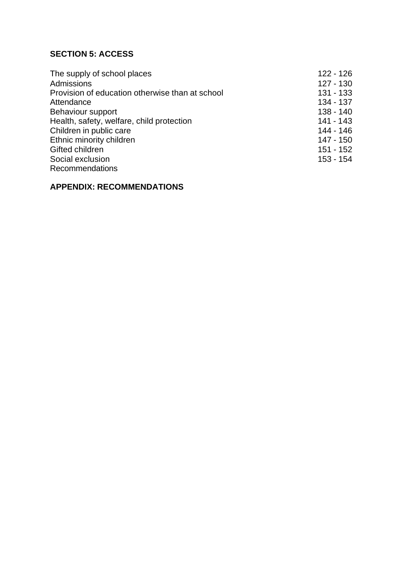## **SECTION 5: ACCESS**

| The supply of school places                     | $122 - 126$ |
|-------------------------------------------------|-------------|
| <b>Admissions</b>                               | $127 - 130$ |
| Provision of education otherwise than at school | $131 - 133$ |
| Attendance                                      | 134 - 137   |
| Behaviour support                               | $138 - 140$ |
| Health, safety, welfare, child protection       | 141 - 143   |
| Children in public care                         | 144 - 146   |
| Ethnic minority children                        | 147 - 150   |
| Gifted children                                 | $151 - 152$ |
| Social exclusion                                | 153 - 154   |
| <b>Recommendations</b>                          |             |

## **APPENDIX: RECOMMENDATIONS**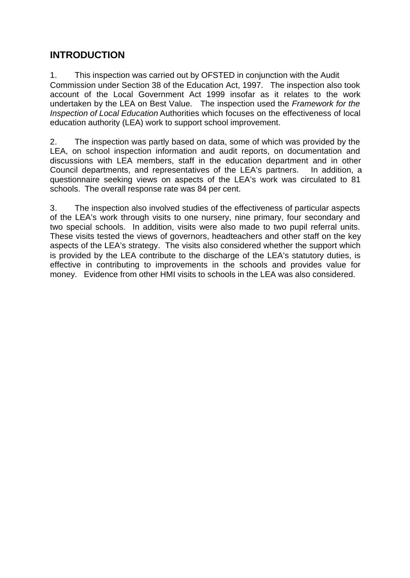# **INTRODUCTION**

1. This inspection was carried out by OFSTED in conjunction with the Audit Commission under Section 38 of the Education Act, 1997. The inspection also took account of the Local Government Act 1999 insofar as it relates to the work undertaken by the LEA on Best Value. The inspection used the *Framework for the Inspection of Local Education* Authorities which focuses on the effectiveness of local education authority (LEA) work to support school improvement.

2. The inspection was partly based on data, some of which was provided by the LEA, on school inspection information and audit reports, on documentation and discussions with LEA members, staff in the education department and in other Council departments, and representatives of the LEA's partners. In addition, a questionnaire seeking views on aspects of the LEA's work was circulated to 81 schools. The overall response rate was 84 per cent.

3. The inspection also involved studies of the effectiveness of particular aspects of the LEA's work through visits to one nursery, nine primary, four secondary and two special schools. In addition, visits were also made to two pupil referral units. These visits tested the views of governors, headteachers and other staff on the key aspects of the LEA's strategy. The visits also considered whether the support which is provided by the LEA contribute to the discharge of the LEA's statutory duties, is effective in contributing to improvements in the schools and provides value for money. Evidence from other HMI visits to schools in the LEA was also considered.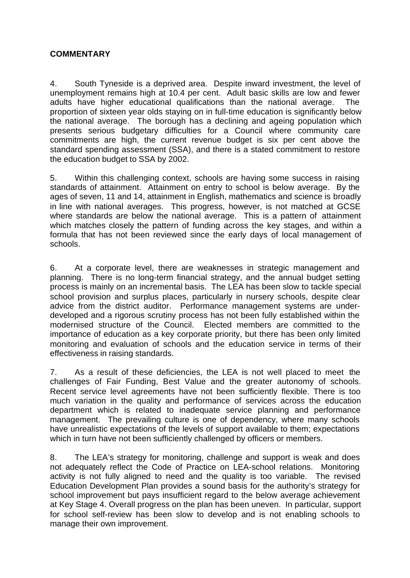#### **COMMENTARY**

4. South Tyneside is a deprived area. Despite inward investment, the level of unemployment remains high at 10.4 per cent. Adult basic skills are low and fewer adults have higher educational qualifications than the national average. The proportion of sixteen year olds staying on in full-time education is significantly below the national average. The borough has a declining and ageing population which presents serious budgetary difficulties for a Council where community care commitments are high, the current revenue budget is six per cent above the standard spending assessment (SSA), and there is a stated commitment to restore the education budget to SSA by 2002.

5. Within this challenging context, schools are having some success in raising standards of attainment. Attainment on entry to school is below average. By the ages of seven, 11 and 14, attainment in English, mathematics and science is broadly in line with national averages. This progress, however, is not matched at GCSE where standards are below the national average. This is a pattern of attainment which matches closely the pattern of funding across the key stages, and within a formula that has not been reviewed since the early days of local management of schools.

6. At a corporate level, there are weaknesses in strategic management and planning. There is no long-term financial strategy, and the annual budget setting process is mainly on an incremental basis. The LEA has been slow to tackle special school provision and surplus places, particularly in nursery schools, despite clear advice from the district auditor. Performance management systems are underdeveloped and a rigorous scrutiny process has not been fully established within the modernised structure of the Council. Elected members are committed to the importance of education as a key corporate priority, but there has been only limited monitoring and evaluation of schools and the education service in terms of their effectiveness in raising standards.

7. As a result of these deficiencies, the LEA is not well placed to meet the challenges of Fair Funding, Best Value and the greater autonomy of schools. Recent service level agreements have not been sufficiently flexible. There is too much variation in the quality and performance of services across the education department which is related to inadequate service planning and performance management. The prevailing culture is one of dependency, where many schools have unrealistic expectations of the levels of support available to them; expectations which in turn have not been sufficiently challenged by officers or members.

8. The LEA's strategy for monitoring, challenge and support is weak and does not adequately reflect the Code of Practice on LEA-school relations. Monitoring activity is not fully aligned to need and the quality is too variable. The revised Education Development Plan provides a sound basis for the authority's strategy for school improvement but pays insufficient regard to the below average achievement at Key Stage 4. Overall progress on the plan has been uneven. In particular, support for school self-review has been slow to develop and is not enabling schools to manage their own improvement.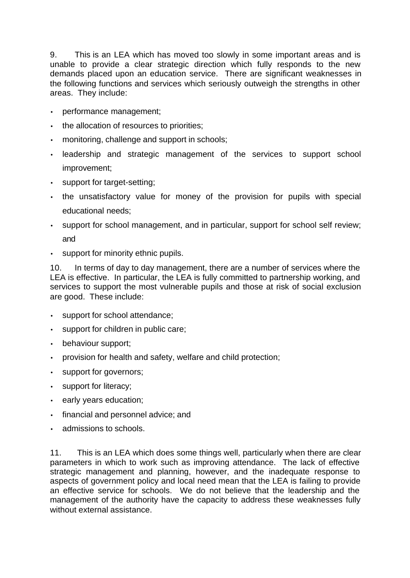9. This is an LEA which has moved too slowly in some important areas and is unable to provide a clear strategic direction which fully responds to the new demands placed upon an education service. There are significant weaknesses in the following functions and services which seriously outweigh the strengths in other areas. They include:

- performance management;
- the allocation of resources to priorities;
- monitoring, challenge and support in schools;
- leadership and strategic management of the services to support school improvement;
- support for target-setting;
- the unsatisfactory value for money of the provision for pupils with special educational needs;
- support for school management, and in particular, support for school self review; and
- support for minority ethnic pupils.

10. In terms of day to day management, there are a number of services where the LEA is effective. In particular, the LEA is fully committed to partnership working, and services to support the most vulnerable pupils and those at risk of social exclusion are good. These include:

- support for school attendance;
- support for children in public care;
- behaviour support;
- provision for health and safety, welfare and child protection;
- support for governors;
- support for literacy;
- early years education;
- financial and personnel advice; and
- admissions to schools.

11. This is an LEA which does some things well, particularly when there are clear parameters in which to work such as improving attendance. The lack of effective strategic management and planning, however, and the inadequate response to aspects of government policy and local need mean that the LEA is failing to provide an effective service for schools. We do not believe that the leadership and the management of the authority have the capacity to address these weaknesses fully without external assistance.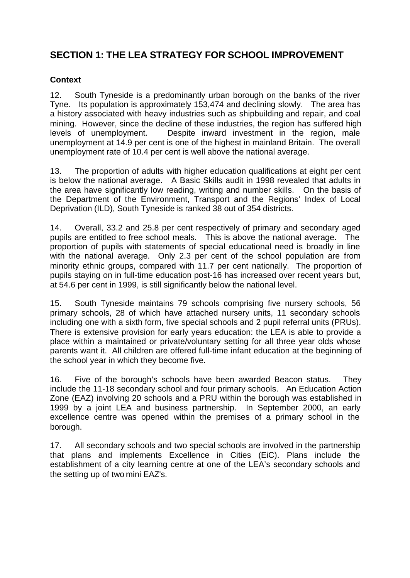# **SECTION 1: THE LEA STRATEGY FOR SCHOOL IMPROVEMENT**

#### **Context**

12. South Tyneside is a predominantly urban borough on the banks of the river Tyne. Its population is approximately 153,474 and declining slowly. The area has a history associated with heavy industries such as shipbuilding and repair, and coal mining. However, since the decline of these industries, the region has suffered high levels of unemployment. Despite inward investment in the region, male unemployment at 14.9 per cent is one of the highest in mainland Britain. The overall unemployment rate of 10.4 per cent is well above the national average.

13. The proportion of adults with higher education qualifications at eight per cent is below the national average. A Basic Skills audit in 1998 revealed that adults in the area have significantly low reading, writing and number skills. On the basis of the Department of the Environment, Transport and the Regions' Index of Local Deprivation (ILD), South Tyneside is ranked 38 out of 354 districts.

14. Overall, 33.2 and 25.8 per cent respectively of primary and secondary aged pupils are entitled to free school meals. This is above the national average. The proportion of pupils with statements of special educational need is broadly in line with the national average. Only 2.3 per cent of the school population are from minority ethnic groups, compared with 11.7 per cent nationally. The proportion of pupils staying on in full-time education post-16 has increased over recent years but, at 54.6 per cent in 1999, is still significantly below the national level.

15. South Tyneside maintains 79 schools comprising five nursery schools, 56 primary schools, 28 of which have attached nursery units, 11 secondary schools including one with a sixth form, five special schools and 2 pupil referral units (PRUs). There is extensive provision for early years education: the LEA is able to provide a place within a maintained or private/voluntary setting for all three year olds whose parents want it. All children are offered full-time infant education at the beginning of the school year in which they become five.

16. Five of the borough's schools have been awarded Beacon status. They include the 11-18 secondary school and four primary schools. An Education Action Zone (EAZ) involving 20 schools and a PRU within the borough was established in 1999 by a joint LEA and business partnership. In September 2000, an early excellence centre was opened within the premises of a primary school in the borough.

17. All secondary schools and two special schools are involved in the partnership that plans and implements Excellence in Cities (EiC). Plans include the establishment of a city learning centre at one of the LEA's secondary schools and the setting up of two mini EAZ's.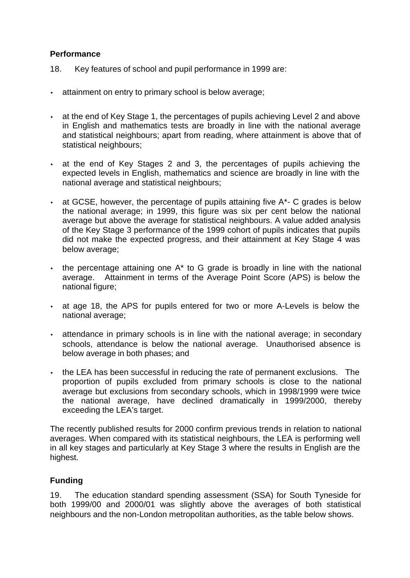#### **Performance**

- 18. Key features of school and pupil performance in 1999 are:
- attainment on entry to primary school is below average;
- at the end of Key Stage 1, the percentages of pupils achieving Level 2 and above in English and mathematics tests are broadly in line with the national average and statistical neighbours; apart from reading, where attainment is above that of statistical neighbours;
- at the end of Key Stages 2 and 3, the percentages of pupils achieving the expected levels in English, mathematics and science are broadly in line with the national average and statistical neighbours;
- at GCSE, however, the percentage of pupils attaining five A\*- C grades is below the national average; in 1999, this figure was six per cent below the national average but above the average for statistical neighbours. A value added analysis of the Key Stage 3 performance of the 1999 cohort of pupils indicates that pupils did not make the expected progress, and their attainment at Key Stage 4 was below average;
- the percentage attaining one A\* to G grade is broadly in line with the national average. Attainment in terms of the Average Point Score (APS) is below the national figure;
- at age 18, the APS for pupils entered for two or more A-Levels is below the national average;
- attendance in primary schools is in line with the national average; in secondary schools, attendance is below the national average. Unauthorised absence is below average in both phases; and
- the LEA has been successful in reducing the rate of permanent exclusions. The proportion of pupils excluded from primary schools is close to the national average but exclusions from secondary schools, which in 1998/1999 were twice the national average, have declined dramatically in 1999/2000, thereby exceeding the LEA's target.

The recently published results for 2000 confirm previous trends in relation to national averages. When compared with its statistical neighbours, the LEA is performing well in all key stages and particularly at Key Stage 3 where the results in English are the highest.

#### **Funding**

19. The education standard spending assessment (SSA) for South Tyneside for both 1999/00 and 2000/01 was slightly above the averages of both statistical neighbours and the non-London metropolitan authorities, as the table below shows.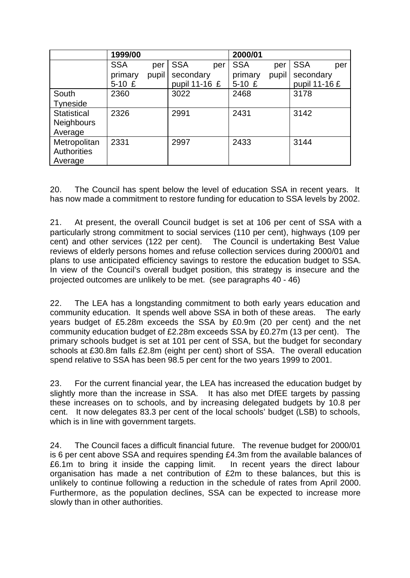|                    | 1999/00    |       |               |     | 2000/01    |       |               |     |
|--------------------|------------|-------|---------------|-----|------------|-------|---------------|-----|
|                    | <b>SSA</b> | per   | <b>SSA</b>    | per | <b>SSA</b> | per   | <b>SSA</b>    | per |
|                    | primary    | pupil | secondary     |     | primary    | pupil | secondary     |     |
|                    | $5-10E$    |       | pupil 11-16 £ |     | $5-10E$    |       | pupil 11-16 £ |     |
| South              | 2360       |       | 3022          |     | 2468       |       | 3178          |     |
| <b>Tyneside</b>    |            |       |               |     |            |       |               |     |
| <b>Statistical</b> | 2326       |       | 2991          |     | 2431       |       | 3142          |     |
| <b>Neighbours</b>  |            |       |               |     |            |       |               |     |
| Average            |            |       |               |     |            |       |               |     |
| Metropolitan       | 2331       |       | 2997          |     | 2433       |       | 3144          |     |
| <b>Authorities</b> |            |       |               |     |            |       |               |     |
| Average            |            |       |               |     |            |       |               |     |

20. The Council has spent below the level of education SSA in recent years. It has now made a commitment to restore funding for education to SSA levels by 2002.

21. At present, the overall Council budget is set at 106 per cent of SSA with a particularly strong commitment to social services (110 per cent), highways (109 per cent) and other services (122 per cent). The Council is undertaking Best Value reviews of elderly persons homes and refuse collection services during 2000/01 and plans to use anticipated efficiency savings to restore the education budget to SSA. In view of the Council's overall budget position, this strategy is insecure and the projected outcomes are unlikely to be met. (see paragraphs 40 - 46)

22. The LEA has a longstanding commitment to both early years education and community education. It spends well above SSA in both of these areas. The early years budget of £5.28m exceeds the SSA by £0.9m (20 per cent) and the net community education budget of £2.28m exceeds SSA by £0.27m (13 per cent). The primary schools budget is set at 101 per cent of SSA, but the budget for secondary schools at £30.8m falls £2.8m (eight per cent) short of SSA. The overall education spend relative to SSA has been 98.5 per cent for the two years 1999 to 2001.

23. For the current financial year, the LEA has increased the education budget by slightly more than the increase in SSA. It has also met DfEE targets by passing these increases on to schools, and by increasing delegated budgets by 10.8 per cent. It now delegates 83.3 per cent of the local schools' budget (LSB) to schools, which is in line with government targets.

24. The Council faces a difficult financial future. The revenue budget for 2000/01 is 6 per cent above SSA and requires spending £4.3m from the available balances of £6.1m to bring it inside the capping limit. In recent years the direct labour organisation has made a net contribution of £2m to these balances, but this is unlikely to continue following a reduction in the schedule of rates from April 2000. Furthermore, as the population declines, SSA can be expected to increase more slowly than in other authorities.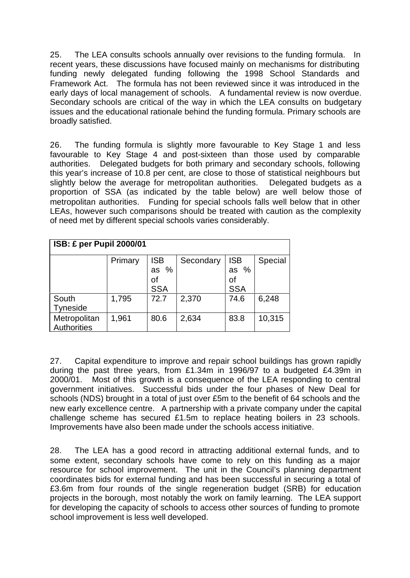25. The LEA consults schools annually over revisions to the funding formula. In recent years, these discussions have focused mainly on mechanisms for distributing funding newly delegated funding following the 1998 School Standards and Framework Act. The formula has not been reviewed since it was introduced in the early days of local management of schools. A fundamental review is now overdue. Secondary schools are critical of the way in which the LEA consults on budgetary issues and the educational rationale behind the funding formula. Primary schools are broadly satisfied.

26. The funding formula is slightly more favourable to Key Stage 1 and less favourable to Key Stage 4 and post-sixteen than those used by comparable authorities. Delegated budgets for both primary and secondary schools, following this year's increase of 10.8 per cent, are close to those of statistical neighbours but slightly below the average for metropolitan authorities. Delegated budgets as a proportion of SSA (as indicated by the table below) are well below those of metropolitan authorities. Funding for special schools falls well below that in other LEAs, however such comparisons should be treated with caution as the complexity of need met by different special schools varies considerably.

| <b>ISB: £ per Pupil 2000/01</b> |         |                                              |           |                                          |         |  |
|---------------------------------|---------|----------------------------------------------|-----------|------------------------------------------|---------|--|
|                                 | Primary | <b>ISB</b><br>$\%$<br>as<br>of<br><b>SSA</b> | Secondary | <b>ISB</b><br>as $%$<br>οf<br><b>SSA</b> | Special |  |
| South<br>Tyneside               | 1,795   | 72.7                                         | 2,370     | 74.6                                     | 6,248   |  |
| Metropolitan<br>Authorities     | 1,961   | 80.6                                         | 2,634     | 83.8                                     | 10,315  |  |

27. Capital expenditure to improve and repair school buildings has grown rapidly during the past three years, from £1.34m in 1996/97 to a budgeted £4.39m in 2000/01. Most of this growth is a consequence of the LEA responding to central government initiatives. Successful bids under the four phases of New Deal for schools (NDS) brought in a total of just over £5m to the benefit of 64 schools and the new early excellence centre. A partnership with a private company under the capital challenge scheme has secured £1.5m to replace heating boilers in 23 schools. Improvements have also been made under the schools access initiative.

28. The LEA has a good record in attracting additional external funds, and to some extent, secondary schools have come to rely on this funding as a major resource for school improvement. The unit in the Council's planning department coordinates bids for external funding and has been successful in securing a total of £3.6m from four rounds of the single regeneration budget (SRB) for education projects in the borough, most notably the work on family learning. The LEA support for developing the capacity of schools to access other sources of funding to promote school improvement is less well developed.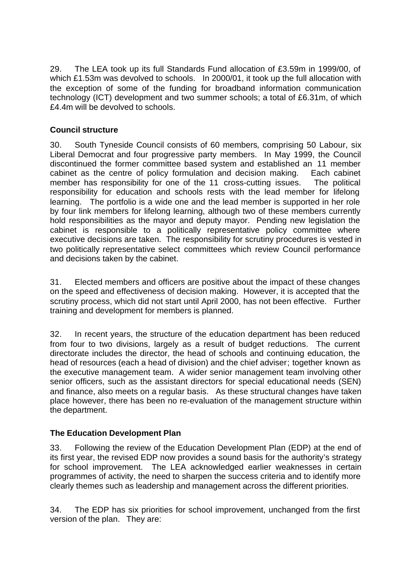29. The LEA took up its full Standards Fund allocation of £3.59m in 1999/00, of which £1.53m was devolved to schools. In 2000/01, it took up the full allocation with the exception of some of the funding for broadband information communication technology (ICT) development and two summer schools; a total of £6.31m, of which £4.4m will be devolved to schools.

#### **Council structure**

30. South Tyneside Council consists of 60 members*,* comprising 50 Labour, six Liberal Democrat and four progressive party members. In May 1999, the Council discontinued the former committee based system and established an 11 member cabinet as the centre of policy formulation and decision making. Each cabinet member has responsibility for one of the 11 cross-cutting issues. The political responsibility for education and schools rests with the lead member for lifelong learning. The portfolio is a wide one and the lead member is supported in her role by four link members for lifelong learning, although two of these members currently hold responsibilities as the mayor and deputy mayor. Pending new legislation the cabinet is responsible to a politically representative policy committee where executive decisions are taken. The responsibility for scrutiny procedures is vested in two politically representative select committees which review Council performance and decisions taken by the cabinet.

31. Elected members and officers are positive about the impact of these changes on the speed and effectiveness of decision making. However, it is accepted that the scrutiny process, which did not start until April 2000, has not been effective. Further training and development for members is planned.

32. In recent years, the structure of the education department has been reduced from four to two divisions, largely as a result of budget reductions. The current directorate includes the director, the head of schools and continuing education, the head of resources (each a head of division) and the chief adviser; together known as the executive management team. A wider senior management team involving other senior officers, such as the assistant directors for special educational needs (SEN) and finance, also meets on a regular basis. As these structural changes have taken place however, there has been no re-evaluation of the management structure within the department.

#### **The Education Development Plan**

33. Following the review of the Education Development Plan (EDP) at the end of its first year, the revised EDP now provides a sound basis for the authority's strategy for school improvement. The LEA acknowledged earlier weaknesses in certain programmes of activity, the need to sharpen the success criteria and to identify more clearly themes such as leadership and management across the different priorities.

34. The EDP has six priorities for school improvement, unchanged from the first version of the plan. They are: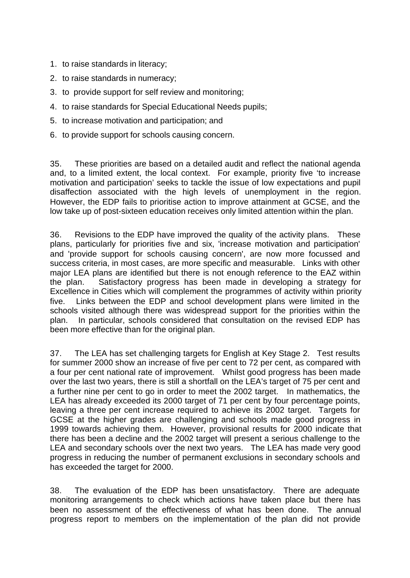- 1. to raise standards in literacy;
- 2. to raise standards in numeracy;
- 3. to provide support for self review and monitoring;
- 4. to raise standards for Special Educational Needs pupils;
- 5. to increase motivation and participation; and
- 6. to provide support for schools causing concern.

35. These priorities are based on a detailed audit and reflect the national agenda and, to a limited extent, the local context. For example, priority five 'to increase motivation and participation' seeks to tackle the issue of low expectations and pupil disaffection associated with the high levels of unemployment in the region. However, the EDP fails to prioritise action to improve attainment at GCSE, and the low take up of post-sixteen education receives only limited attention within the plan.

36. Revisions to the EDP have improved the quality of the activity plans. These plans, particularly for priorities five and six, 'increase motivation and participation' and 'provide support for schools causing concern', are now more focussed and success criteria, in most cases, are more specific and measurable. Links with other major LEA plans are identified but there is not enough reference to the EAZ within the plan. Satisfactory progress has been made in developing a strategy for Excellence in Cities which will complement the programmes of activity within priority five. Links between the EDP and school development plans were limited in the schools visited although there was widespread support for the priorities within the plan. In particular, schools considered that consultation on the revised EDP has been more effective than for the original plan.

37. The LEA has set challenging targets for English at Key Stage 2. Test results for summer 2000 show an increase of five per cent to 72 per cent, as compared with a four per cent national rate of improvement. Whilst good progress has been made over the last two years, there is still a shortfall on the LEA's target of 75 per cent and a further nine per cent to go in order to meet the 2002 target. In mathematics, the LEA has already exceeded its 2000 target of 71 per cent by four percentage points, leaving a three per cent increase required to achieve its 2002 target. Targets for GCSE at the higher grades are challenging and schools made good progress in 1999 towards achieving them. However, provisional results for 2000 indicate that there has been a decline and the 2002 target will present a serious challenge to the LEA and secondary schools over the next two years. The LEA has made very good progress in reducing the number of permanent exclusions in secondary schools and has exceeded the target for 2000.

38. The evaluation of the EDP has been unsatisfactory. There are adequate monitoring arrangements to check which actions have taken place but there has been no assessment of the effectiveness of what has been done. The annual progress report to members on the implementation of the plan did not provide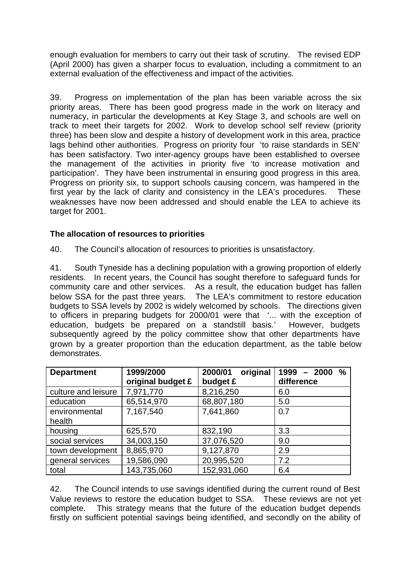enough evaluation for members to carry out their task of scrutiny. The revised EDP (April 2000) has given a sharper focus to evaluation, including a commitment to an external evaluation of the effectiveness and impact of the activities.

39. Progress on implementation of the plan has been variable across the six priority areas. There has been good progress made in the work on literacy and numeracy, in particular the developments at Key Stage 3, and schools are well on track to meet their targets for 2002. Work to develop school self review (priority three) has been slow and despite a history of development work in this area, practice lags behind other authorities. Progress on priority four 'to raise standards in SEN' has been satisfactory. Two inter-agency groups have been established to oversee the management of the activities in priority five 'to increase motivation and participation'. They have been instrumental in ensuring good progress in this area. Progress on priority six, to support schools causing concern, was hampered in the first year by the lack of clarity and consistency in the LEA's procedures. These weaknesses have now been addressed and should enable the LEA to achieve its target for 2001.

#### **The allocation of resources to priorities**

40. The Council's allocation of resources to priorities is unsatisfactory.

41. South Tyneside has a declining population with a growing proportion of elderly residents. In recent years, the Council has sought therefore to safeguard funds for community care and other services. As a result, the education budget has fallen below SSA for the past three years. The LEA's commitment to restore education budgets to SSA levels by 2002 is widely welcomed by schools. The directions given to officers in preparing budgets for 2000/01 were that '... with the exception of education, budgets be prepared on a standstill basis.' However, budgets subsequently agreed by the policy committee show that other departments have grown by a greater proportion than the education department, as the table below demonstrates.

| <b>Department</b>   | 1999/2000         | 2000/01<br>original | 1999<br>$\frac{0}{0}$<br>$-2000$ |
|---------------------|-------------------|---------------------|----------------------------------|
|                     | original budget £ | budget £            | difference                       |
| culture and leisure | 7,971,770         | 8,216,250           | 6.0                              |
| education           | 65,514,970        | 68,807,180          | 5.0                              |
| environmental       | 7,167,540         | 7,641,860           | 0.7                              |
| health              |                   |                     |                                  |
| housing             | 625,570           | 832,190             | 3.3                              |
| social services     | 34,003,150        | 37,076,520          | 9.0                              |
| town development    | 8,865,970         | 9,127,870           | 2.9                              |
| general services    | 19,586,090        | 20,995,520          | 7.2                              |
| total               | 143,735,060       | 152,931,060         | 6.4                              |

42. The Council intends to use savings identified during the current round of Best Value reviews to restore the education budget to SSA. These reviews are not yet complete. This strategy means that the future of the education budget depends firstly on sufficient potential savings being identified, and secondly on the ability of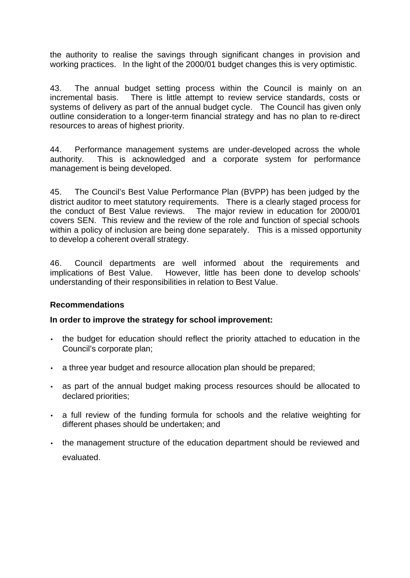the authority to realise the savings through significant changes in provision and working practices. In the light of the 2000/01 budget changes this is very optimistic.

43. The annual budget setting process within the Council is mainly on an incremental basis. There is little attempt to review service standards, costs or systems of delivery as part of the annual budget cycle. The Council has given only outline consideration to a longer-term financial strategy and has no plan to re-direct resources to areas of highest priority.

44. Performance management systems are under-developed across the whole authority. This is acknowledged and a corporate system for performance management is being developed.

45. The Council's Best Value Performance Plan (BVPP) has been judged by the district auditor to meet statutory requirements. There is a clearly staged process for the conduct of Best Value reviews. The major review in education for 2000/01 covers SEN. This review and the review of the role and function of special schools within a policy of inclusion are being done separately. This is a missed opportunity to develop a coherent overall strategy.

46. Council departments are well informed about the requirements and implications of Best Value. However, little has been done to develop schools' understanding of their responsibilities in relation to Best Value.

#### **Recommendations**

#### **In order to improve the strategy for school improvement:**

- the budget for education should reflect the priority attached to education in the Council's corporate plan;
- a three year budget and resource allocation plan should be prepared;
- as part of the annual budget making process resources should be allocated to declared priorities;
- a full review of the funding formula for schools and the relative weighting for different phases should be undertaken; and
- the management structure of the education department should be reviewed and evaluated.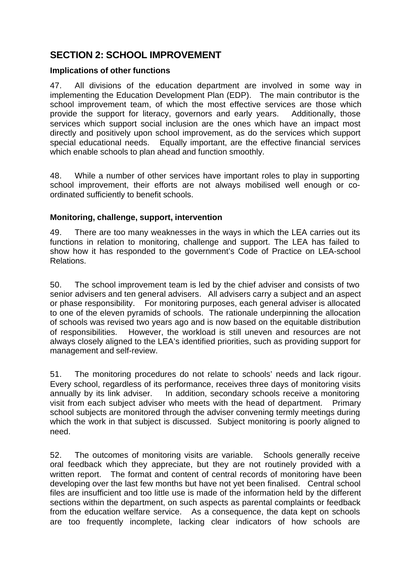# **SECTION 2: SCHOOL IMPROVEMENT**

#### **Implications of other functions**

47. All divisions of the education department are involved in some way in implementing the Education Development Plan (EDP). The main contributor is the school improvement team, of which the most effective services are those which provide the support for literacy, governors and early years. Additionally, those services which support social inclusion are the ones which have an impact most directly and positively upon school improvement, as do the services which support special educational needs. Equally important, are the effective financial services which enable schools to plan ahead and function smoothly.

48. While a number of other services have important roles to play in supporting school improvement, their efforts are not always mobilised well enough or coordinated sufficiently to benefit schools.

#### **Monitoring, challenge, support, intervention**

49. There are too many weaknesses in the ways in which the LEA carries out its functions in relation to monitoring, challenge and support. The LEA has failed to show how it has responded to the government's Code of Practice on LEA-school Relations.

50. The school improvement team is led by the chief adviser and consists of two senior advisers and ten general advisers. All advisers carry a subject and an aspect or phase responsibility. For monitoring purposes, each general adviser is allocated to one of the eleven pyramids of schools. The rationale underpinning the allocation of schools was revised two years ago and is now based on the equitable distribution of responsibilities. However, the workload is still uneven and resources are not always closely aligned to the LEA's identified priorities, such as providing support for management and self-review.

51. The monitoring procedures do not relate to schools' needs and lack rigour. Every school, regardless of its performance, receives three days of monitoring visits annually by its link adviser. In addition, secondary schools receive a monitoring visit from each subject adviser who meets with the head of department. Primary school subjects are monitored through the adviser convening termly meetings during which the work in that subject is discussed. Subject monitoring is poorly aligned to need.

52. The outcomes of monitoring visits are variable. Schools generally receive oral feedback which they appreciate, but they are not routinely provided with a written report. The format and content of central records of monitoring have been developing over the last few months but have not yet been finalised. Central school files are insufficient and too little use is made of the information held by the different sections within the department, on such aspects as parental complaints or feedback from the education welfare service. As a consequence, the data kept on schools are too frequently incomplete, lacking clear indicators of how schools are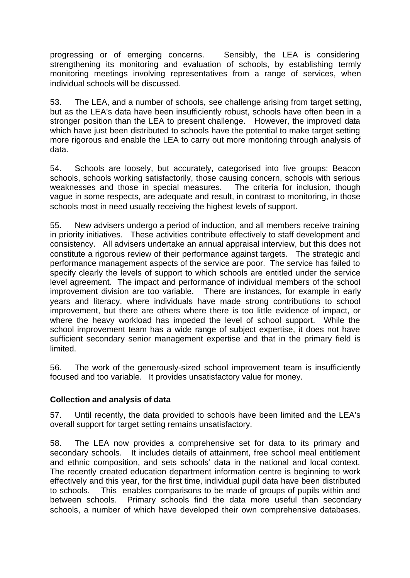progressing or of emerging concerns. Sensibly, the LEA is considering strengthening its monitoring and evaluation of schools, by establishing termly monitoring meetings involving representatives from a range of services, when individual schools will be discussed.

53. The LEA, and a number of schools, see challenge arising from target setting, but as the LEA's data have been insufficiently robust, schools have often been in a stronger position than the LEA to present challenge. However, the improved data which have just been distributed to schools have the potential to make target setting more rigorous and enable the LEA to carry out more monitoring through analysis of data.

54. Schools are loosely, but accurately, categorised into five groups: Beacon schools, schools working satisfactorily, those causing concern, schools with serious weaknesses and those in special measures. The criteria for inclusion, though vague in some respects, are adequate and result, in contrast to monitoring, in those schools most in need usually receiving the highest levels of support.

55. New advisers undergo a period of induction, and all members receive training in priority initiatives. These activities contribute effectively to staff development and consistency. All advisers undertake an annual appraisal interview, but this does not constitute a rigorous review of their performance against targets. The strategic and performance management aspects of the service are poor. The service has failed to specify clearly the levels of support to which schools are entitled under the service level agreement. The impact and performance of individual members of the school improvement division are too variable. There are instances, for example in early years and literacy, where individuals have made strong contributions to school improvement, but there are others where there is too little evidence of impact, or where the heavy workload has impeded the level of school support. While the school improvement team has a wide range of subject expertise, it does not have sufficient secondary senior management expertise and that in the primary field is limited.

56. The work of the generously-sized school improvement team is insufficiently focused and too variable. It provides unsatisfactory value for money.

#### **Collection and analysis of data**

57. Until recently, the data provided to schools have been limited and the LEA's overall support for target setting remains unsatisfactory.

58. The LEA now provides a comprehensive set for data to its primary and secondary schools. It includes details of attainment, free school meal entitlement and ethnic composition, and sets schools' data in the national and local context. The recently created education department information centre is beginning to work effectively and this year, for the first time, individual pupil data have been distributed to schools. This enables comparisons to be made of groups of pupils within and between schools. Primary schools find the data more useful than secondary schools, a number of which have developed their own comprehensive databases.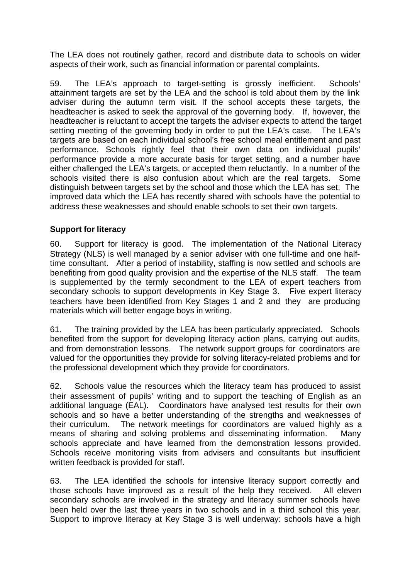The LEA does not routinely gather, record and distribute data to schools on wider aspects of their work, such as financial information or parental complaints.

59. The LEA's approach to target-setting is grossly inefficient. Schools' attainment targets are set by the LEA and the school is told about them by the link adviser during the autumn term visit. If the school accepts these targets, the headteacher is asked to seek the approval of the governing body. If, however, the headteacher is reluctant to accept the targets the adviser expects to attend the target setting meeting of the governing body in order to put the LEA's case. The LEA's targets are based on each individual school's free school meal entitlement and past performance. Schools rightly feel that their own data on individual pupils' performance provide a more accurate basis for target setting, and a number have either challenged the LEA's targets, or accepted them reluctantly. In a number of the schools visited there is also confusion about which are the real targets. Some distinguish between targets set by the school and those which the LEA has set. The improved data which the LEA has recently shared with schools have the potential to address these weaknesses and should enable schools to set their own targets.

#### **Support for literacy**

60. Support for literacy is good. The implementation of the National Literacy Strategy (NLS) is well managed by a senior adviser with one full-time and one halftime consultant. After a period of instability, staffing is now settled and schools are benefiting from good quality provision and the expertise of the NLS staff. The team is supplemented by the termly secondment to the LEA of expert teachers from secondary schools to support developments in Key Stage 3. Five expert literacy teachers have been identified from Key Stages 1 and 2 and they are producing materials which will better engage boys in writing.

61. The training provided by the LEA has been particularly appreciated. Schools benefited from the support for developing literacy action plans, carrying out audits, and from demonstration lessons. The network support groups for coordinators are valued for the opportunities they provide for solving literacy-related problems and for the professional development which they provide for coordinators.

62. Schools value the resources which the literacy team has produced to assist their assessment of pupils' writing and to support the teaching of English as an additional language (EAL). Coordinators have analysed test results for their own schools and so have a better understanding of the strengths and weaknesses of their curriculum. The network meetings for coordinators are valued highly as a means of sharing and solving problems and disseminating information. Many schools appreciate and have learned from the demonstration lessons provided. Schools receive monitoring visits from advisers and consultants but insufficient written feedback is provided for staff.

63. The LEA identified the schools for intensive literacy support correctly and those schools have improved as a result of the help they received. All eleven secondary schools are involved in the strategy and literacy summer schools have been held over the last three years in two schools and in a third school this year. Support to improve literacy at Key Stage 3 is well underway: schools have a high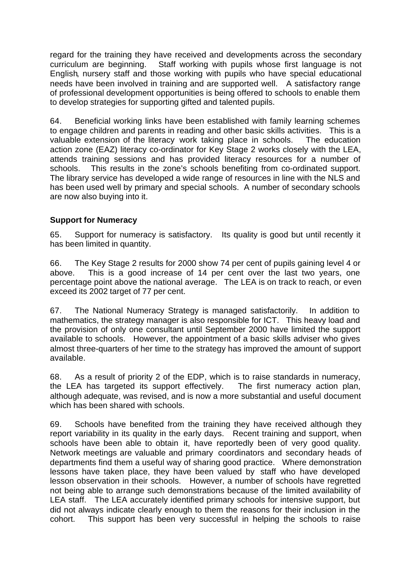regard for the training they have received and developments across the secondary curriculum are beginning. Staff working with pupils whose first language is not English, nursery staff and those working with pupils who have special educational needs have been involved in training and are supported well. A satisfactory range of professional development opportunities is being offered to schools to enable them to develop strategies for supporting gifted and talented pupils.

64. Beneficial working links have been established with family learning schemes to engage children and parents in reading and other basic skills activities. This is a valuable extension of the literacy work taking place in schools. The education action zone (EAZ) literacy co-ordinator for Key Stage 2 works closely with the LEA, attends training sessions and has provided literacy resources for a number of schools. This results in the zone's schools benefiting from co-ordinated support. The library service has developed a wide range of resources in line with the NLS and has been used well by primary and special schools. A number of secondary schools are now also buying into it.

#### **Support for Numeracy**

65. Support for numeracy is satisfactory. Its quality is good but until recently it has been limited in quantity.

66. The Key Stage 2 results for 2000 show 74 per cent of pupils gaining level 4 or above. This is a good increase of 14 per cent over the last two years, one percentage point above the national average. The LEA is on track to reach, or even exceed its 2002 target of 77 per cent.

67. The National Numeracy Strategy is managed satisfactorily. In addition to mathematics, the strategy manager is also responsible for ICT. This heavy load and the provision of only one consultant until September 2000 have limited the support available to schools. However, the appointment of a basic skills adviser who gives almost three-quarters of her time to the strategy has improved the amount of support available.

68. As a result of priority 2 of the EDP, which is to raise standards in numeracy, the LEA has targeted its support effectively. The first numeracy action plan, although adequate, was revised, and is now a more substantial and useful document which has been shared with schools.

69. Schools have benefited from the training they have received although they report variability in its quality in the early days. Recent training and support, when schools have been able to obtain it, have reportedly been of very good quality. Network meetings are valuable and primary coordinators and secondary heads of departments find them a useful way of sharing good practice. Where demonstration lessons have taken place, they have been valued by staff who have developed lesson observation in their schools. However, a number of schools have regretted not being able to arrange such demonstrations because of the limited availability of LEA staff. The LEA accurately identified primary schools for intensive support, but did not always indicate clearly enough to them the reasons for their inclusion in the cohort. This support has been very successful in helping the schools to raise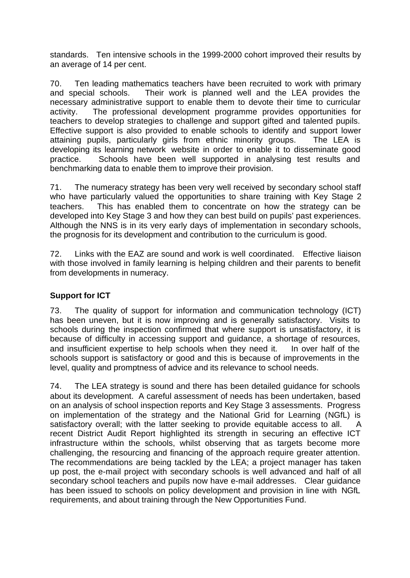standards. Ten intensive schools in the 1999-2000 cohort improved their results by an average of 14 per cent.

70. Ten leading mathematics teachers have been recruited to work with primary and special schools. Their work is planned well and the LEA provides the necessary administrative support to enable them to devote their time to curricular activity. The professional development programme provides opportunities for teachers to develop strategies to challenge and support gifted and talented pupils. Effective support is also provided to enable schools to identify and support lower attaining pupils, particularly girls from ethnic minority groups. The LEA is developing its learning network website in order to enable it to disseminate good practice. Schools have been well supported in analysing test results and benchmarking data to enable them to improve their provision.

71. The numeracy strategy has been very well received by secondary school staff who have particularly valued the opportunities to share training with Key Stage 2 teachers. This has enabled them to concentrate on how the strategy can be developed into Key Stage 3 and how they can best build on pupils' past experiences. Although the NNS is in its very early days of implementation in secondary schools, the prognosis for its development and contribution to the curriculum is good.

72. Links with the EAZ are sound and work is well coordinated. Effective liaison with those involved in family learning is helping children and their parents to benefit from developments in numeracy.

#### **Support for ICT**

73. The quality of support for information and communication technology (ICT) has been uneven, but it is now improving and is generally satisfactory. Visits to schools during the inspection confirmed that where support is unsatisfactory, it is because of difficulty in accessing support and guidance, a shortage of resources, and insufficient expertise to help schools when they need it. In over half of the schools support is satisfactory or good and this is because of improvements in the level, quality and promptness of advice and its relevance to school needs.

74. The LEA strategy is sound and there has been detailed guidance for schools about its development. A careful assessment of needs has been undertaken, based on an analysis of school inspection reports and Key Stage 3 assessments. Progress on implementation of the strategy and the National Grid for Learning (NGfL) is satisfactory overall; with the latter seeking to provide equitable access to all. A recent District Audit Report highlighted its strength in securing an effective ICT infrastructure within the schools, whilst observing that as targets become more challenging, the resourcing and financing of the approach require greater attention. The recommendations are being tackled by the LEA; a project manager has taken up post, the e-mail project with secondary schools is well advanced and half of all secondary school teachers and pupils now have e-mail addresses. Clear guidance has been issued to schools on policy development and provision in line with NGfL requirements, and about training through the New Opportunities Fund.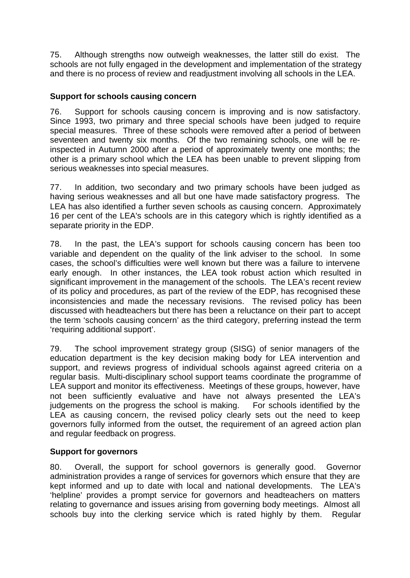75. Although strengths now outweigh weaknesses, the latter still do exist. The schools are not fully engaged in the development and implementation of the strategy and there is no process of review and readjustment involving all schools in the LEA.

#### **Support for schools causing concern**

76. Support for schools causing concern is improving and is now satisfactory. Since 1993, two primary and three special schools have been judged to require special measures. Three of these schools were removed after a period of between seventeen and twenty six months. Of the two remaining schools, one will be reinspected in Autumn 2000 after a period of approximately twenty one months; the other is a primary school which the LEA has been unable to prevent slipping from serious weaknesses into special measures.

77. In addition, two secondary and two primary schools have been judged as having serious weaknesses and all but one have made satisfactory progress. The LEA has also identified a further seven schools as causing concern. Approximately 16 per cent of the LEA's schools are in this category which is rightly identified as a separate priority in the EDP.

78. In the past, the LEA's support for schools causing concern has been too variable and dependent on the quality of the link adviser to the school. In some cases, the school's difficulties were well known but there was a failure to intervene early enough. In other instances, the LEA took robust action which resulted in significant improvement in the management of the schools. The LEA's recent review of its policy and procedures, as part of the review of the EDP, has recognised these inconsistencies and made the necessary revisions. The revised policy has been discussed with headteachers but there has been a reluctance on their part to accept the term 'schools causing concern' as the third category, preferring instead the term 'requiring additional support'.

79. The school improvement strategy group (SISG) of senior managers of the education department is the key decision making body for LEA intervention and support, and reviews progress of individual schools against agreed criteria on a regular basis. Multi-disciplinary school support teams coordinate the programme of LEA support and monitor its effectiveness. Meetings of these groups, however, have not been sufficiently evaluative and have not always presented the LEA's judgements on the progress the school is making. For schools identified by the LEA as causing concern, the revised policy clearly sets out the need to keep governors fully informed from the outset, the requirement of an agreed action plan and regular feedback on progress.

#### **Support for governors**

80. Overall, the support for school governors is generally good. Governor administration provides a range of services for governors which ensure that they are kept informed and up to date with local and national developments. The LEA's 'helpline' provides a prompt service for governors and headteachers on matters relating to governance and issues arising from governing body meetings. Almost all schools buy into the clerking service which is rated highly by them. Regular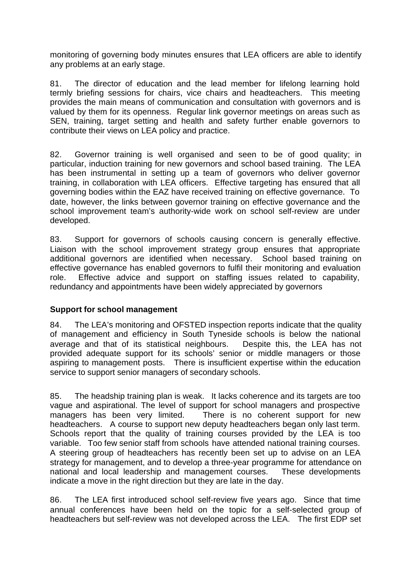monitoring of governing body minutes ensures that LEA officers are able to identify any problems at an early stage.

81. The director of education and the lead member for lifelong learning hold termly briefing sessions for chairs, vice chairs and headteachers. This meeting provides the main means of communication and consultation with governors and is valued by them for its openness. Regular link governor meetings on areas such as SEN, training, target setting and health and safety further enable governors to contribute their views on LEA policy and practice.

82. Governor training is well organised and seen to be of good quality; in particular, induction training for new governors and school based training. The LEA has been instrumental in setting up a team of governors who deliver governor training, in collaboration with LEA officers. Effective targeting has ensured that all governing bodies within the EAZ have received training on effective governance. To date, however, the links between governor training on effective governance and the school improvement team's authority-wide work on school self-review are under developed.

83. Support for governors of schools causing concern is generally effective. Liaison with the school improvement strategy group ensures that appropriate additional governors are identified when necessary. School based training on effective governance has enabled governors to fulfil their monitoring and evaluation role. Effective advice and support on staffing issues related to capability, redundancy and appointments have been widely appreciated by governors

#### **Support for school management**

84. The LEA's monitoring and OFSTED inspection reports indicate that the quality of management and efficiency in South Tyneside schools is below the national average and that of its statistical neighbours. Despite this, the LEA has not provided adequate support for its schools' senior or middle managers or those aspiring to management posts. There is insufficient expertise within the education service to support senior managers of secondary schools.

85. The headship training plan is weak. It lacks coherence and its targets are too vague and aspirational. The level of support for school managers and prospective managers has been very limited. There is no coherent support for new headteachers. A course to support new deputy headteachers began only last term. Schools report that the quality of training courses provided by the LEA is too variable. Too few senior staff from schools have attended national training courses. A steering group of headteachers has recently been set up to advise on an LEA strategy for management, and to develop a three-year programme for attendance on national and local leadership and management courses. These developments indicate a move in the right direction but they are late in the day.

86. The LEA first introduced school self-review five years ago. Since that time annual conferences have been held on the topic for a self-selected group of headteachers but self-review was not developed across the LEA. The first EDP set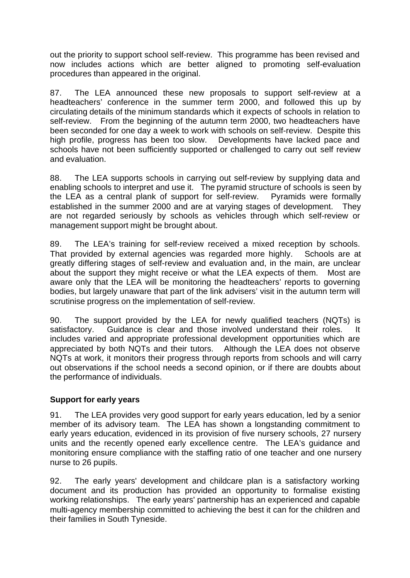out the priority to support school self-review. This programme has been revised and now includes actions which are better aligned to promoting self-evaluation procedures than appeared in the original.

87. The LEA announced these new proposals to support self-review at a headteachers' conference in the summer term 2000, and followed this up by circulating details of the minimum standards which it expects of schools in relation to self-review. From the beginning of the autumn term 2000, two headteachers have been seconded for one day a week to work with schools on self-review. Despite this high profile, progress has been too slow. Developments have lacked pace and schools have not been sufficiently supported or challenged to carry out self review and evaluation.

88. The LEA supports schools in carrying out self-review by supplying data and enabling schools to interpret and use it. The pyramid structure of schools is seen by the LEA as a central plank of support for self-review. Pyramids were formally established in the summer 2000 and are at varying stages of development. They are not regarded seriously by schools as vehicles through which self-review or management support might be brought about.

89. The LEA's training for self-review received a mixed reception by schools. That provided by external agencies was regarded more highly. Schools are at greatly differing stages of self-review and evaluation and, in the main, are unclear about the support they might receive or what the LEA expects of them. Most are aware only that the LEA will be monitoring the headteachers' reports to governing bodies, but largely unaware that part of the link advisers' visit in the autumn term will scrutinise progress on the implementation of self-review.

90. The support provided by the LEA for newly qualified teachers (NQTs) is satisfactory. Guidance is clear and those involved understand their roles. It includes varied and appropriate professional development opportunities which are appreciated by both NQTs and their tutors. Although the LEA does not observe NQTs at work, it monitors their progress through reports from schools and will carry out observations if the school needs a second opinion, or if there are doubts about the performance of individuals.

#### **Support for early years**

91. The LEA provides very good support for early years education, led by a senior member of its advisory team. The LEA has shown a longstanding commitment to early years education, evidenced in its provision of five nursery schools, 27 nursery units and the recently opened early excellence centre. The LEA's guidance and monitoring ensure compliance with the staffing ratio of one teacher and one nursery nurse to 26 pupils.

92. The early years' development and childcare plan is a satisfactory working document and its production has provided an opportunity to formalise existing working relationships. The early years' partnership has an experienced and capable multi-agency membership committed to achieving the best it can for the children and their families in South Tyneside.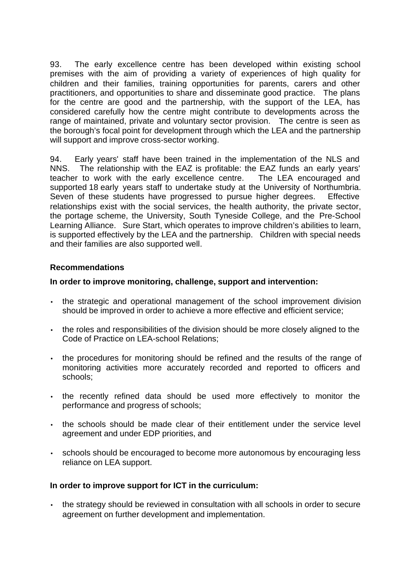93. The early excellence centre has been developed within existing school premises with the aim of providing a variety of experiences of high quality for children and their families, training opportunities for parents, carers and other practitioners, and opportunities to share and disseminate good practice. The plans for the centre are good and the partnership, with the support of the LEA, has considered carefully how the centre might contribute to developments across the range of maintained, private and voluntary sector provision. The centre is seen as the borough's focal point for development through which the LEA and the partnership will support and improve cross-sector working.

94. Early years' staff have been trained in the implementation of the NLS and NNS. The relationship with the EAZ is profitable: the EAZ funds an early years' teacher to work with the early excellence centre. The LEA encouraged and supported 18 early years staff to undertake study at the University of Northumbria. Seven of these students have progressed to pursue higher degrees. Effective relationships exist with the social services, the health authority, the private sector, the portage scheme, the University, South Tyneside College, and the Pre-School Learning Alliance. Sure Start, which operates to improve children's abilities to learn, is supported effectively by the LEA and the partnership. Children with special needs and their families are also supported well.

#### **Recommendations**

#### **In order to improve monitoring, challenge, support and intervention:**

- the strategic and operational management of the school improvement division should be improved in order to achieve a more effective and efficient service;
- the roles and responsibilities of the division should be more closely aligned to the Code of Practice on LEA-school Relations;
- the procedures for monitoring should be refined and the results of the range of monitoring activities more accurately recorded and reported to officers and schools;
- the recently refined data should be used more effectively to monitor the performance and progress of schools;
- the schools should be made clear of their entitlement under the service level agreement and under EDP priorities, and
- schools should be encouraged to become more autonomous by encouraging less reliance on LEA support.

#### **In order to improve support for ICT in the curriculum:**

• the strategy should be reviewed in consultation with all schools in order to secure agreement on further development and implementation.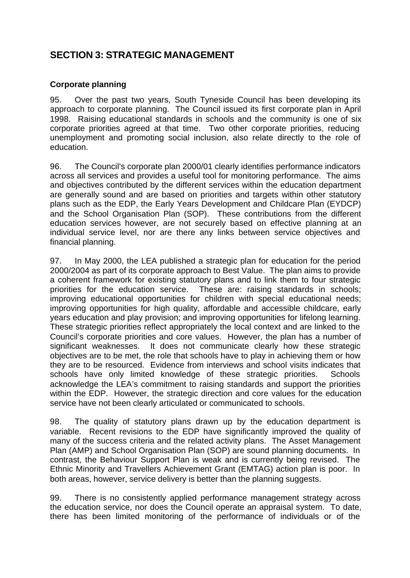# **SECTION 3: STRATEGIC MANAGEMENT**

#### **Corporate planning**

95. Over the past two years, South Tyneside Council has been developing its approach to corporate planning. The Council issued its first corporate plan in April 1998. Raising educational standards in schools and the community is one of six corporate priorities agreed at that time. Two other corporate priorities, reducing unemployment and promoting social inclusion, also relate directly to the role of education.

96. The Council's corporate plan 2000/01 clearly identifies performance indicators across all services and provides a useful tool for monitoring performance. The aims and objectives contributed by the different services within the education department are generally sound and are based on priorities and targets within other statutory plans such as the EDP, the Early Years Development and Childcare Plan (EYDCP) and the School Organisation Plan (SOP). These contributions from the different education services however, are not securely based on effective planning at an individual service level, nor are there any links between service objectives and financial planning.

97. In May 2000, the LEA published a strategic plan for education for the period 2000/2004 as part of its corporate approach to Best Value. The plan aims to provide a coherent framework for existing statutory plans and to link them to four strategic priorities for the education service. These are: raising standards in schools; improving educational opportunities for children with special educational needs; improving opportunities for high quality, affordable and accessible childcare, early years education and play provision; and improving opportunities for lifelong learning. These strategic priorities reflect appropriately the local context and are linked to the Council's corporate priorities and core values. However, the plan has a number of significant weaknesses. It does not communicate clearly how these strategic objectives are to be met, the role that schools have to play in achieving them or how they are to be resourced. Evidence from interviews and school visits indicates that schools have only limited knowledge of these strategic priorities. Schools acknowledge the LEA's commitment to raising standards and support the priorities within the EDP. However, the strategic direction and core values for the education service have not been clearly articulated or communicated to schools.

98. The quality of statutory plans drawn up by the education department is variable. Recent revisions to the EDP have significantly improved the quality of many of the success criteria and the related activity plans. The Asset Management Plan (AMP) and School Organisation Plan (SOP) are sound planning documents. In contrast, the Behaviour Support Plan is weak and is currently being revised. The Ethnic Minority and Travellers Achievement Grant (EMTAG) action plan is poor. In both areas, however, service delivery is better than the planning suggests.

99. There is no consistently applied performance management strategy across the education service, nor does the Council operate an appraisal system. To date, there has been limited monitoring of the performance of individuals or of the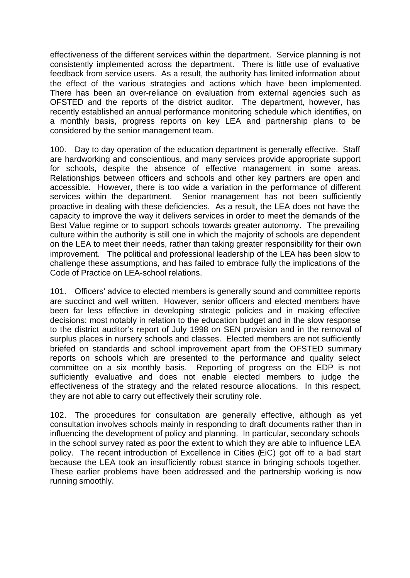effectiveness of the different services within the department. Service planning is not consistently implemented across the department. There is little use of evaluative feedback from service users. As a result, the authority has limited information about the effect of the various strategies and actions which have been implemented. There has been an over-reliance on evaluation from external agencies such as OFSTED and the reports of the district auditor. The department, however, has recently established an annual performance monitoring schedule which identifies, on a monthly basis, progress reports on key LEA and partnership plans to be considered by the senior management team.

100. Day to day operation of the education department is generally effective. Staff are hardworking and conscientious, and many services provide appropriate support for schools, despite the absence of effective management in some areas. Relationships between officers and schools and other key partners are open and accessible. However, there is too wide a variation in the performance of different services within the department. Senior management has not been sufficiently proactive in dealing with these deficiencies. As a result, the LEA does not have the capacity to improve the way it delivers services in order to meet the demands of the Best Value regime or to support schools towards greater autonomy. The prevailing culture within the authority is still one in which the majority of schools are dependent on the LEA to meet their needs, rather than taking greater responsibility for their own improvement. The political and professional leadership of the LEA has been slow to challenge these assumptions, and has failed to embrace fully the implications of the Code of Practice on LEA-school relations.

101. Officers' advice to elected members is generally sound and committee reports are succinct and well written. However, senior officers and elected members have been far less effective in developing strategic policies and in making effective decisions: most notably in relation to the education budget and in the slow response to the district auditor's report of July 1998 on SEN provision and in the removal of surplus places in nursery schools and classes. Elected members are not sufficiently briefed on standards and school improvement apart from the OFSTED summary reports on schools which are presented to the performance and quality select committee on a six monthly basis. Reporting of progress on the EDP is not sufficiently evaluative and does not enable elected members to judge the effectiveness of the strategy and the related resource allocations. In this respect, they are not able to carry out effectively their scrutiny role.

102. The procedures for consultation are generally effective, although as yet consultation involves schools mainly in responding to draft documents rather than in influencing the development of policy and planning. In particular, secondary schools in the school survey rated as poor the extent to which they are able to influence LEA policy. The recent introduction of Excellence in Cities (EiC) got off to a bad start because the LEA took an insufficiently robust stance in bringing schools together. These earlier problems have been addressed and the partnership working is now running smoothly.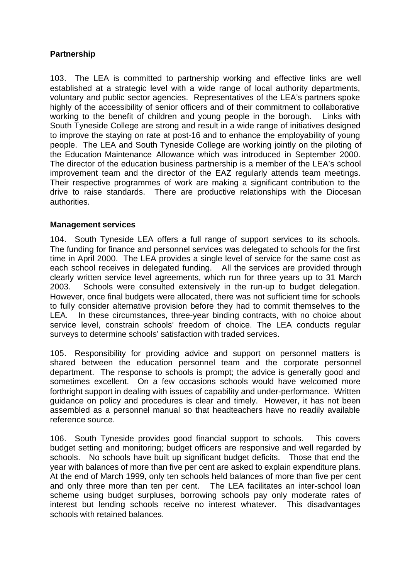#### **Partnership**

103. The LEA is committed to partnership working and effective links are well established at a strategic level with a wide range of local authority departments, voluntary and public sector agencies. Representatives of the LEA's partners spoke highly of the accessibility of senior officers and of their commitment to collaborative working to the benefit of children and young people in the borough. Links with South Tyneside College are strong and result in a wide range of initiatives designed to improve the staying on rate at post-16 and to enhance the employability of young people. The LEA and South Tyneside College are working jointly on the piloting of the Education Maintenance Allowance which was introduced in September 2000. The director of the education business partnership is a member of the LEA's school improvement team and the director of the EAZ regularly attends team meetings. Their respective programmes of work are making a significant contribution to the drive to raise standards. There are productive relationships with the Diocesan authorities.

#### **Management services**

104. South Tyneside LEA offers a full range of support services to its schools. The funding for finance and personnel services was delegated to schools for the first time in April 2000. The LEA provides a single level of service for the same cost as each school receives in delegated funding. All the services are provided through clearly written service level agreements, which run for three years up to 31 March 2003. Schools were consulted extensively in the run-up to budget delegation. However, once final budgets were allocated, there was not sufficient time for schools to fully consider alternative provision before they had to commit themselves to the LEA. In these circumstances, three-year binding contracts, with no choice about service level, constrain schools' freedom of choice. The LEA conducts regular surveys to determine schools' satisfaction with traded services.

105. Responsibility for providing advice and support on personnel matters is shared between the education personnel team and the corporate personnel department. The response to schools is prompt; the advice is generally good and sometimes excellent. On a few occasions schools would have welcomed more forthright support in dealing with issues of capability and under-performance. Written guidance on policy and procedures is clear and timely. However, it has not been assembled as a personnel manual so that headteachers have no readily available reference source.

106. South Tyneside provides good financial support to schools. This covers budget setting and monitoring; budget officers are responsive and well regarded by schools. No schools have built up significant budget deficits. Those that end the year with balances of more than five per cent are asked to explain expenditure plans. At the end of March 1999, only ten schools held balances of more than five per cent and only three more than ten per cent. The LEA facilitates an inter-school loan scheme using budget surpluses, borrowing schools pay only moderate rates of interest but lending schools receive no interest whatever. This disadvantages schools with retained balances.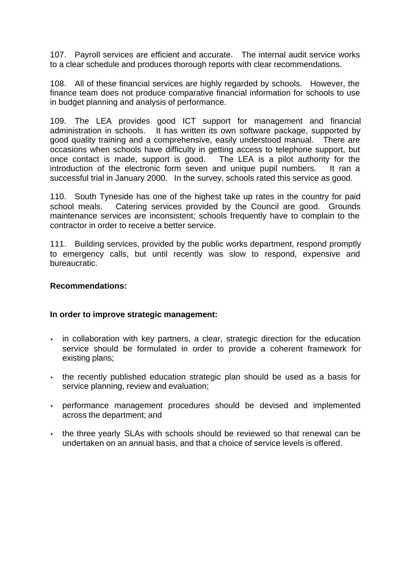107. Payroll services are efficient and accurate. The internal audit service works to a clear schedule and produces thorough reports with clear recommendations.

108. All of these financial services are highly regarded by schools. However, the finance team does not produce comparative financial information for schools to use in budget planning and analysis of performance.

109. The LEA provides good ICT support for management and financial administration in schools. It has written its own software package, supported by good quality training and a comprehensive, easily understood manual. There are occasions when schools have difficulty in getting access to telephone support, but once contact is made, support is good. The LEA is a pilot authority for the introduction of the electronic form seven and unique pupil numbers. It ran a successful trial in January 2000. In the survey, schools rated this service as good.

110. South Tyneside has one of the highest take up rates in the country for paid school meals. Catering services provided by the Council are good. Grounds maintenance services are inconsistent; schools frequently have to complain to the contractor in order to receive a better service.

111. Building services, provided by the public works department, respond promptly to emergency calls, but until recently was slow to respond, expensive and bureaucratic.

#### **Recommendations:**

#### **In order to improve strategic management:**

- in collaboration with key partners, a clear, strategic direction for the education service should be formulated in order to provide a coherent framework for existing plans;
- the recently published education strategic plan should be used as a basis for service planning, review and evaluation;
- performance management procedures should be devised and implemented across the department; and
- the three yearly SLAs with schools should be reviewed so that renewal can be undertaken on an annual basis, and that a choice of service levels is offered.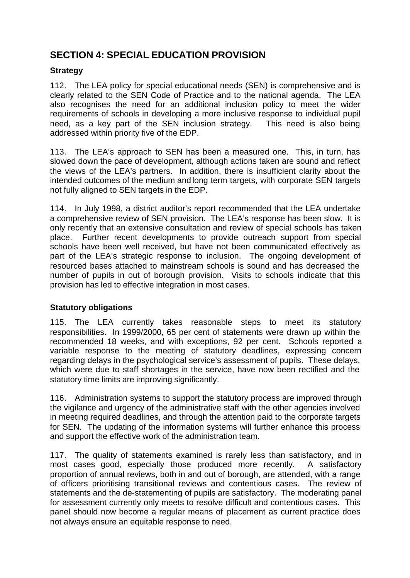# **SECTION 4: SPECIAL EDUCATION PROVISION**

### **Strategy**

112. The LEA policy for special educational needs (SEN) is comprehensive and is clearly related to the SEN Code of Practice and to the national agenda. The LEA also recognises the need for an additional inclusion policy to meet the wider requirements of schools in developing a more inclusive response to individual pupil need, as a key part of the SEN inclusion strategy. This need is also being addressed within priority five of the EDP.

113. The LEA's approach to SEN has been a measured one. This, in turn, has slowed down the pace of development, although actions taken are sound and reflect the views of the LEA's partners. In addition, there is insufficient clarity about the intended outcomes of the medium and long term targets, with corporate SEN targets not fully aligned to SEN targets in the EDP.

114. In July 1998, a district auditor's report recommended that the LEA undertake a comprehensive review of SEN provision. The LEA's response has been slow. It is only recently that an extensive consultation and review of special schools has taken place. Further recent developments to provide outreach support from special schools have been well received, but have not been communicated effectively as part of the LEA's strategic response to inclusion. The ongoing development of resourced bases attached to mainstream schools is sound and has decreased the number of pupils in out of borough provision. Visits to schools indicate that this provision has led to effective integration in most cases.

#### **Statutory obligations**

115. The LEA currently takes reasonable steps to meet its statutory responsibilities. In 1999/2000, 65 per cent of statements were drawn up within the recommended 18 weeks, and with exceptions, 92 per cent. Schools reported a variable response to the meeting of statutory deadlines, expressing concern regarding delays in the psychological service's assessment of pupils. These delays, which were due to staff shortages in the service, have now been rectified and the statutory time limits are improving significantly.

116. Administration systems to support the statutory process are improved through the vigilance and urgency of the administrative staff with the other agencies involved in meeting required deadlines, and through the attention paid to the corporate targets for SEN. The updating of the information systems will further enhance this process and support the effective work of the administration team.

117. The quality of statements examined is rarely less than satisfactory, and in most cases good, especially those produced more recently. A satisfactory proportion of annual reviews, both in and out of borough, are attended, with a range of officers prioritising transitional reviews and contentious cases. The review of statements and the de-statementing of pupils are satisfactory. The moderating panel for assessment currently only meets to resolve difficult and contentious cases. This panel should now become a regular means of placement as current practice does not always ensure an equitable response to need.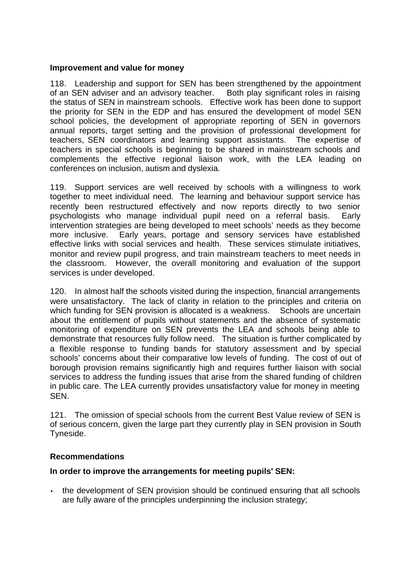#### **Improvement and value for money**

118. Leadership and support for SEN has been strengthened by the appointment of an SEN adviser and an advisory teacher. Both play significant roles in raising the status of SEN in mainstream schools. Effective work has been done to support the priority for SEN in the EDP and has ensured the development of model SEN school policies, the development of appropriate reporting of SEN in governors annual reports, target setting and the provision of professional development for teachers, SEN coordinators and learning support assistants. The expertise of teachers in special schools is beginning to be shared in mainstream schools and complements the effective regional liaison work, with the LEA leading on conferences on inclusion, autism and dyslexia.

119. Support services are well received by schools with a willingness to work together to meet individual need. The learning and behaviour support service has recently been restructured effectively and now reports directly to two senior psychologists who manage individual pupil need on a referral basis. Early intervention strategies are being developed to meet schools' needs as they become more inclusive. Early years, portage and sensory services have established effective links with social services and health. These services stimulate initiatives, monitor and review pupil progress, and train mainstream teachers to meet needs in the classroom. However, the overall monitoring and evaluation of the support services is under developed.

120. In almost half the schools visited during the inspection, financial arrangements were unsatisfactory. The lack of clarity in relation to the principles and criteria on which funding for SEN provision is allocated is a weakness. Schools are uncertain about the entitlement of pupils without statements and the absence of systematic monitoring of expenditure on SEN prevents the LEA and schools being able to demonstrate that resources fully follow need. The situation is further complicated by a flexible response to funding bands for statutory assessment and by special schools' concerns about their comparative low levels of funding. The cost of out of borough provision remains significantly high and requires further liaison with social services to address the funding issues that arise from the shared funding of children in public care. The LEA currently provides unsatisfactory value for money in meeting SEN.

121. The omission of special schools from the current Best Value review of SEN is of serious concern, given the large part they currently play in SEN provision in South Tyneside.

#### **Recommendations**

#### **In order to improve the arrangements for meeting pupils' SEN:**

• the development of SEN provision should be continued ensuring that all schools are fully aware of the principles underpinning the inclusion strategy;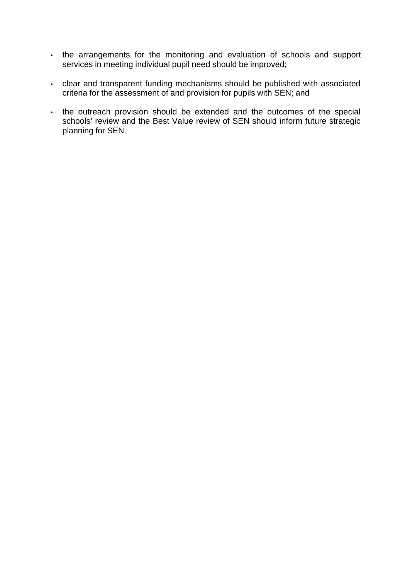- the arrangements for the monitoring and evaluation of schools and support services in meeting individual pupil need should be improved;
- clear and transparent funding mechanisms should be published with associated criteria for the assessment of and provision for pupils with SEN; and
- the outreach provision should be extended and the outcomes of the special schools' review and the Best Value review of SEN should inform future strategic planning for SEN.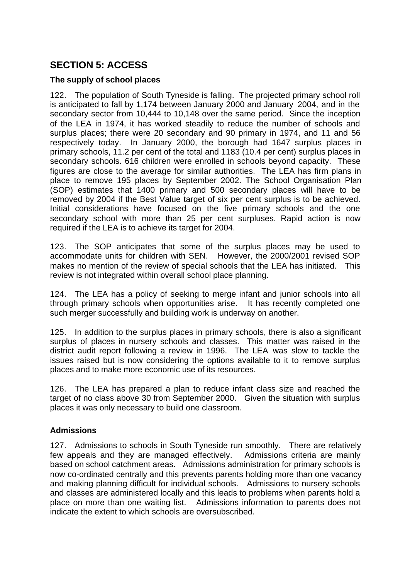# **SECTION 5: ACCESS**

#### **The supply of school places**

122. The population of South Tyneside is falling. The projected primary school roll is anticipated to fall by 1,174 between January 2000 and January 2004, and in the secondary sector from 10,444 to 10,148 over the same period. Since the inception of the LEA in 1974, it has worked steadily to reduce the number of schools and surplus places; there were 20 secondary and 90 primary in 1974, and 11 and 56 respectively today. In January 2000, the borough had 1647 surplus places in primary schools, 11.2 per cent of the total and 1183 (10.4 per cent) surplus places in secondary schools. 616 children were enrolled in schools beyond capacity. These figures are close to the average for similar authorities. The LEA has firm plans in place to remove 195 places by September 2002. The School Organisation Plan (SOP) estimates that 1400 primary and 500 secondary places will have to be removed by 2004 if the Best Value target of six per cent surplus is to be achieved. Initial considerations have focused on the five primary schools and the one secondary school with more than 25 per cent surpluses. Rapid action is now required if the LEA is to achieve its target for 2004.

123. The SOP anticipates that some of the surplus places may be used to accommodate units for children with SEN. However, the 2000/2001 revised SOP makes no mention of the review of special schools that the LEA has initiated. This review is not integrated within overall school place planning.

124. The LEA has a policy of seeking to merge infant and junior schools into all through primary schools when opportunities arise. It has recently completed one such merger successfully and building work is underway on another.

125. In addition to the surplus places in primary schools, there is also a significant surplus of places in nursery schools and classes. This matter was raised in the district audit report following a review in 1996. The LEA was slow to tackle the issues raised but is now considering the options available to it to remove surplus places and to make more economic use of its resources.

126. The LEA has prepared a plan to reduce infant class size and reached the target of no class above 30 from September 2000. Given the situation with surplus places it was only necessary to build one classroom.

#### **Admissions**

127. Admissions to schools in South Tyneside run smoothly. There are relatively few appeals and they are managed effectively. Admissions criteria are mainly based on school catchment areas. Admissions administration for primary schools is now co-ordinated centrally and this prevents parents holding more than one vacancy and making planning difficult for individual schools. Admissions to nursery schools and classes are administered locally and this leads to problems when parents hold a place on more than one waiting list. Admissions information to parents does not indicate the extent to which schools are oversubscribed.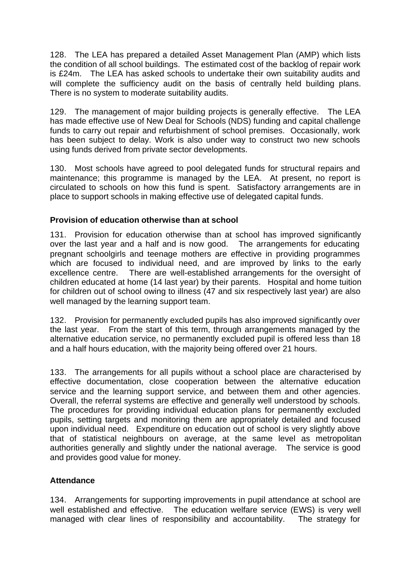128. The LEA has prepared a detailed Asset Management Plan (AMP) which lists the condition of all school buildings. The estimated cost of the backlog of repair work is £24m. The LEA has asked schools to undertake their own suitability audits and will complete the sufficiency audit on the basis of centrally held building plans. There is no system to moderate suitability audits.

129. The management of major building projects is generally effective. The LEA has made effective use of New Deal for Schools (NDS) funding and capital challenge funds to carry out repair and refurbishment of school premises. Occasionally, work has been subject to delay. Work is also under way to construct two new schools using funds derived from private sector developments.

130. Most schools have agreed to pool delegated funds for structural repairs and maintenance; this programme is managed by the LEA. At present, no report is circulated to schools on how this fund is spent. Satisfactory arrangements are in place to support schools in making effective use of delegated capital funds.

#### **Provision of education otherwise than at school**

131. Provision for education otherwise than at school has improved significantly over the last year and a half and is now good. The arrangements for educating pregnant schoolgirls and teenage mothers are effective in providing programmes which are focused to individual need, and are improved by links to the early excellence centre. There are well-established arrangements for the oversight of children educated at home (14 last year) by their parents. Hospital and home tuition for children out of school owing to illness (47 and six respectively last year) are also well managed by the learning support team.

132. Provision for permanently excluded pupils has also improved significantly over the last year. From the start of this term, through arrangements managed by the alternative education service, no permanently excluded pupil is offered less than 18 and a half hours education, with the majority being offered over 21 hours.

133. The arrangements for all pupils without a school place are characterised by effective documentation, close cooperation between the alternative education service and the learning support service, and between them and other agencies. Overall, the referral systems are effective and generally well understood by schools. The procedures for providing individual education plans for permanently excluded pupils, setting targets and monitoring them are appropriately detailed and focused upon individual need. Expenditure on education out of school is very slightly above that of statistical neighbours on average, at the same level as metropolitan authorities generally and slightly under the national average. The service is good and provides good value for money.

#### **Attendance**

134. Arrangements for supporting improvements in pupil attendance at school are well established and effective. The education welfare service (EWS) is very well managed with clear lines of responsibility and accountability. The strategy for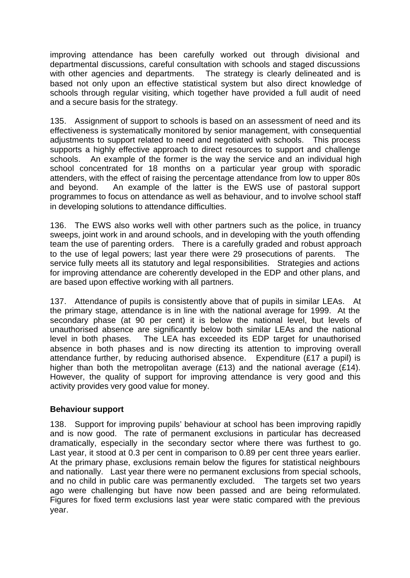improving attendance has been carefully worked out through divisional and departmental discussions, careful consultation with schools and staged discussions with other agencies and departments. The strategy is clearly delineated and is based not only upon an effective statistical system but also direct knowledge of schools through regular visiting, which together have provided a full audit of need and a secure basis for the strategy.

135. Assignment of support to schools is based on an assessment of need and its effectiveness is systematically monitored by senior management, with consequential adjustments to support related to need and negotiated with schools. This process supports a highly effective approach to direct resources to support and challenge schools. An example of the former is the way the service and an individual high school concentrated for 18 months on a particular year group with sporadic attenders, with the effect of raising the percentage attendance from low to upper 80s and beyond. An example of the latter is the EWS use of pastoral support programmes to focus on attendance as well as behaviour, and to involve school staff in developing solutions to attendance difficulties.

136. The EWS also works well with other partners such as the police, in truancy sweeps, joint work in and around schools, and in developing with the youth offending team the use of parenting orders. There is a carefully graded and robust approach to the use of legal powers; last year there were 29 prosecutions of parents. The service fully meets all its statutory and legal responsibilities. Strategies and actions for improving attendance are coherently developed in the EDP and other plans, and are based upon effective working with all partners.

137. Attendance of pupils is consistently above that of pupils in similar LEAs. At the primary stage, attendance is in line with the national average for 1999. At the secondary phase (at 90 per cent) it is below the national level, but levels of unauthorised absence are significantly below both similar LEAs and the national level in both phases. The LEA has exceeded its EDP target for unauthorised absence in both phases and is now directing its attention to improving overall attendance further, by reducing authorised absence. Expenditure (£17 a pupil) is higher than both the metropolitan average (£13) and the national average (£14). However, the quality of support for improving attendance is very good and this activity provides very good value for money.

#### **Behaviour support**

138. Support for improving pupils' behaviour at school has been improving rapidly and is now good. The rate of permanent exclusions in particular has decreased dramatically, especially in the secondary sector where there was furthest to go. Last year, it stood at 0.3 per cent in comparison to 0.89 per cent three years earlier. At the primary phase, exclusions remain below the figures for statistical neighbours and nationally. Last year there were no permanent exclusions from special schools, and no child in public care was permanently excluded. The targets set two years ago were challenging but have now been passed and are being reformulated. Figures for fixed term exclusions last year were static compared with the previous year.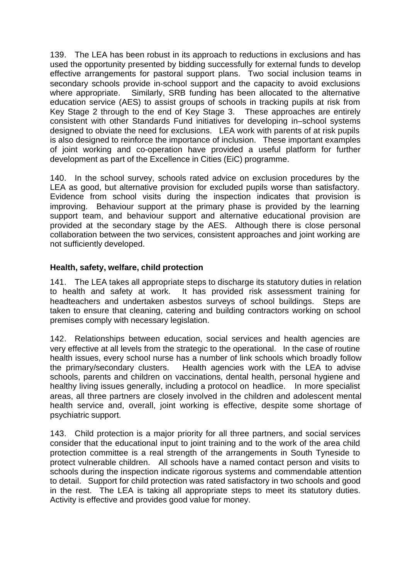139. The LEA has been robust in its approach to reductions in exclusions and has used the opportunity presented by bidding successfully for external funds to develop effective arrangements for pastoral support plans. Two social inclusion teams in secondary schools provide in-school support and the capacity to avoid exclusions where appropriate. Similarly, SRB funding has been allocated to the alternative education service (AES) to assist groups of schools in tracking pupils at risk from Key Stage 2 through to the end of Key Stage 3. These approaches are entirely consistent with other Standards Fund initiatives for developing in–school systems designed to obviate the need for exclusions. LEA work with parents of at risk pupils is also designed to reinforce the importance of inclusion. These important examples of joint working and co-operation have provided a useful platform for further development as part of the Excellence in Cities (EiC) programme.

140. In the school survey, schools rated advice on exclusion procedures by the LEA as good, but alternative provision for excluded pupils worse than satisfactory. Evidence from school visits during the inspection indicates that provision is improving. Behaviour support at the primary phase is provided by the learning support team, and behaviour support and alternative educational provision are provided at the secondary stage by the AES. Although there is close personal collaboration between the two services, consistent approaches and joint working are not sufficiently developed.

#### **Health, safety, welfare, child protection**

141. The LEA takes all appropriate steps to discharge its statutory duties in relation to health and safety at work. It has provided risk assessment training for headteachers and undertaken asbestos surveys of school buildings. Steps are taken to ensure that cleaning, catering and building contractors working on school premises comply with necessary legislation.

142. Relationships between education, social services and health agencies are very effective at all levels from the strategic to the operational. In the case of routine health issues, every school nurse has a number of link schools which broadly follow the primary/secondary clusters. Health agencies work with the LEA to advise schools, parents and children on vaccinations, dental health, personal hygiene and healthy living issues generally, including a protocol on headlice. In more specialist areas, all three partners are closely involved in the children and adolescent mental health service and, overall, joint working is effective, despite some shortage of psychiatric support.

143. Child protection is a major priority for all three partners, and social services consider that the educational input to joint training and to the work of the area child protection committee is a real strength of the arrangements in South Tyneside to protect vulnerable children. All schools have a named contact person and visits to schools during the inspection indicate rigorous systems and commendable attention to detail. Support for child protection was rated satisfactory in two schools and good in the rest. The LEA is taking all appropriate steps to meet its statutory duties. Activity is effective and provides good value for money.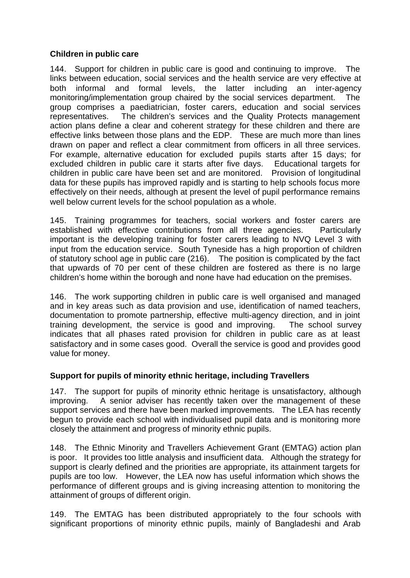#### **Children in public care**

144. Support for children in public care is good and continuing to improve. The links between education, social services and the health service are very effective at both informal and formal levels, the latter including an inter-agency monitoring/implementation group chaired by the social services department. The group comprises a paediatrician, foster carers, education and social services representatives. The children's services and the Quality Protects management action plans define a clear and coherent strategy for these children and there are effective links between those plans and the EDP. These are much more than lines drawn on paper and reflect a clear commitment from officers in all three services. For example, alternative education for excluded pupils starts after 15 days; for excluded children in public care it starts after five days. Educational targets for children in public care have been set and are monitored. Provision of longitudinal data for these pupils has improved rapidly and is starting to help schools focus more effectively on their needs, although at present the level of pupil performance remains well below current levels for the school population as a whole.

145. Training programmes for teachers, social workers and foster carers are established with effective contributions from all three agencies. Particularly important is the developing training for foster carers leading to NVQ Level 3 with input from the education service. South Tyneside has a high proportion of children of statutory school age in public care (216). The position is complicated by the fact that upwards of 70 per cent of these children are fostered as there is no large children's home within the borough and none have had education on the premises.

146. The work supporting children in public care is well organised and managed and in key areas such as data provision and use, identification of named teachers, documentation to promote partnership, effective multi-agency direction, and in joint training development, the service is good and improving. The school survey indicates that all phases rated provision for children in public care as at least satisfactory and in some cases good. Overall the service is good and provides good value for money.

#### **Support for pupils of minority ethnic heritage, including Travellers**

147. The support for pupils of minority ethnic heritage is unsatisfactory, although improving. A senior adviser has recently taken over the management of these support services and there have been marked improvements. The LEA has recently begun to provide each school with individualised pupil data and is monitoring more closely the attainment and progress of minority ethnic pupils.

148. The Ethnic Minority and Travellers Achievement Grant (EMTAG) action plan is poor. It provides too little analysis and insufficient data. Although the strategy for support is clearly defined and the priorities are appropriate, its attainment targets for pupils are too low. However, the LEA now has useful information which shows the performance of different groups and is giving increasing attention to monitoring the attainment of groups of different origin.

149. The EMTAG has been distributed appropriately to the four schools with significant proportions of minority ethnic pupils, mainly of Bangladeshi and Arab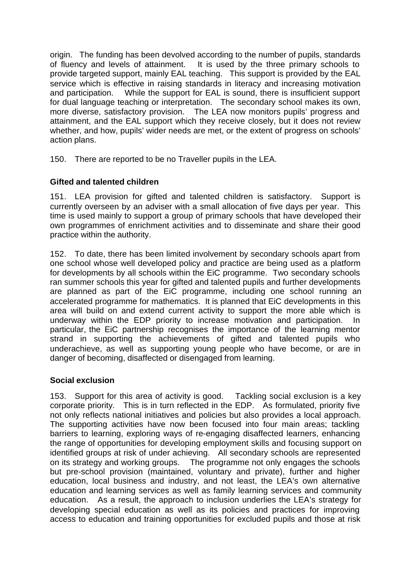origin. The funding has been devolved according to the number of pupils, standards of fluency and levels of attainment. It is used by the three primary schools to provide targeted support, mainly EAL teaching. This support is provided by the EAL service which is effective in raising standards in literacy and increasing motivation and participation. While the support for EAL is sound, there is insufficient support for dual language teaching or interpretation. The secondary school makes its own, more diverse, satisfactory provision. The LEA now monitors pupils' progress and attainment, and the EAL support which they receive closely, but it does not review whether, and how, pupils' wider needs are met, or the extent of progress on schools' action plans.

150. There are reported to be no Traveller pupils in the LEA.

#### **Gifted and talented children**

151. LEA provision for gifted and talented children is satisfactory. Support is currently overseen by an adviser with a small allocation of five days per year. This time is used mainly to support a group of primary schools that have developed their own programmes of enrichment activities and to disseminate and share their good practice within the authority.

152. To date, there has been limited involvement by secondary schools apart from one school whose well developed policy and practice are being used as a platform for developments by all schools within the EiC programme. Two secondary schools ran summer schools this year for gifted and talented pupils and further developments are planned as part of the EiC programme, including one school running an accelerated programme for mathematics. It is planned that EiC developments in this area will build on and extend current activity to support the more able which is underway within the EDP priority to increase motivation and participation. In particular, the EiC partnership recognises the importance of the learning mentor strand in supporting the achievements of gifted and talented pupils who underachieve, as well as supporting young people who have become, or are in danger of becoming, disaffected or disengaged from learning.

#### **Social exclusion**

153. Support for this area of activity is good. Tackling social exclusion is a key corporate priority. This is in turn reflected in the EDP. As formulated, priority five not only reflects national initiatives and policies but also provides a local approach. The supporting activities have now been focused into four main areas; tackling barriers to learning, exploring ways of re-engaging disaffected learners, enhancing the range of opportunities for developing employment skills and focusing support on identified groups at risk of under achieving. All secondary schools are represented on its strategy and working groups. The programme not only engages the schools but pre-school provision (maintained, voluntary and private), further and higher education, local business and industry, and not least, the LEA's own alternative education and learning services as well as family learning services and community education. As a result, the approach to inclusion underlies the LEA's strategy for developing special education as well as its policies and practices for improving access to education and training opportunities for excluded pupils and those at risk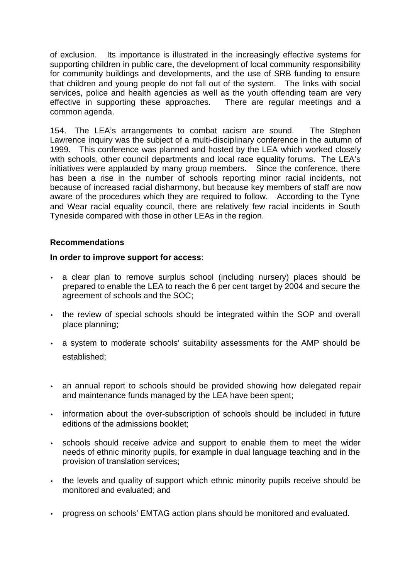of exclusion. Its importance is illustrated in the increasingly effective systems for supporting children in public care, the development of local community responsibility for community buildings and developments, and the use of SRB funding to ensure that children and young people do not fall out of the system. The links with social services, police and health agencies as well as the youth offending team are very effective in supporting these approaches. There are regular meetings and a common agenda.

154. The LEA's arrangements to combat racism are sound. The Stephen Lawrence inquiry was the subject of a multi-disciplinary conference in the autumn of 1999. This conference was planned and hosted by the LEA which worked closely with schools, other council departments and local race equality forums. The LEA's initiatives were applauded by many group members. Since the conference, there has been a rise in the number of schools reporting minor racial incidents, not because of increased racial disharmony, but because key members of staff are now aware of the procedures which they are required to follow. According to the Tyne and Wear racial equality council, there are relatively few racial incidents in South Tyneside compared with those in other LEAs in the region.

#### **Recommendations**

#### **In order to improve support for access**:

- a clear plan to remove surplus school (including nursery) places should be prepared to enable the LEA to reach the 6 per cent target by 2004 and secure the agreement of schools and the SOC;
- the review of special schools should be integrated within the SOP and overall place planning;
- a system to moderate schools' suitability assessments for the AMP should be established;
- an annual report to schools should be provided showing how delegated repair and maintenance funds managed by the LEA have been spent;
- information about the over-subscription of schools should be included in future editions of the admissions booklet;
- schools should receive advice and support to enable them to meet the wider needs of ethnic minority pupils, for example in dual language teaching and in the provision of translation services;
- the levels and quality of support which ethnic minority pupils receive should be monitored and evaluated; and
- progress on schools' EMTAG action plans should be monitored and evaluated.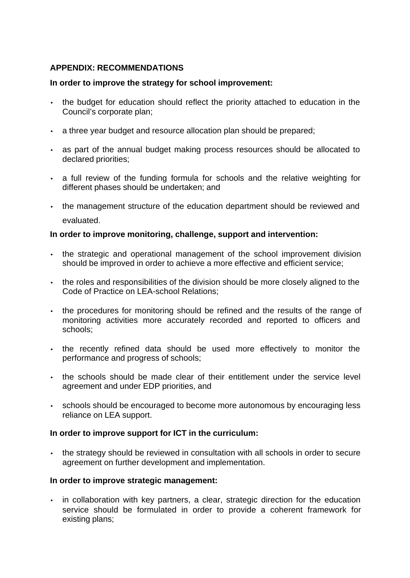#### **APPENDIX: RECOMMENDATIONS**

#### **In order to improve the strategy for school improvement:**

- the budget for education should reflect the priority attached to education in the Council's corporate plan;
- a three year budget and resource allocation plan should be prepared;
- as part of the annual budget making process resources should be allocated to declared priorities;
- a full review of the funding formula for schools and the relative weighting for different phases should be undertaken; and
- the management structure of the education department should be reviewed and evaluated.

#### **In order to improve monitoring, challenge, support and intervention:**

- the strategic and operational management of the school improvement division should be improved in order to achieve a more effective and efficient service;
- the roles and responsibilities of the division should be more closely aligned to the Code of Practice on LEA-school Relations;
- the procedures for monitoring should be refined and the results of the range of monitoring activities more accurately recorded and reported to officers and schools;
- the recently refined data should be used more effectively to monitor the performance and progress of schools;
- the schools should be made clear of their entitlement under the service level agreement and under EDP priorities, and
- schools should be encouraged to become more autonomous by encouraging less reliance on LEA support.

#### **In order to improve support for ICT in the curriculum:**

• the strategy should be reviewed in consultation with all schools in order to secure agreement on further development and implementation.

#### **In order to improve strategic management:**

• in collaboration with key partners, a clear, strategic direction for the education service should be formulated in order to provide a coherent framework for existing plans;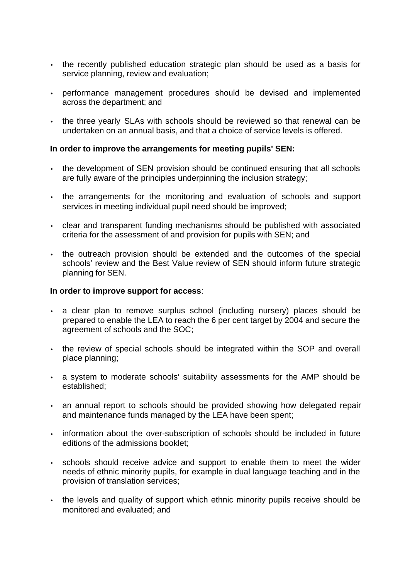- the recently published education strategic plan should be used as a basis for service planning, review and evaluation;
- performance management procedures should be devised and implemented across the department; and
- the three yearly SLAs with schools should be reviewed so that renewal can be undertaken on an annual basis, and that a choice of service levels is offered.

#### **In order to improve the arrangements for meeting pupils' SEN:**

- the development of SEN provision should be continued ensuring that all schools are fully aware of the principles underpinning the inclusion strategy;
- the arrangements for the monitoring and evaluation of schools and support services in meeting individual pupil need should be improved;
- clear and transparent funding mechanisms should be published with associated criteria for the assessment of and provision for pupils with SEN; and
- the outreach provision should be extended and the outcomes of the special schools' review and the Best Value review of SEN should inform future strategic planning for SEN.

#### **In order to improve support for access**:

- a clear plan to remove surplus school (including nursery) places should be prepared to enable the LEA to reach the 6 per cent target by 2004 and secure the agreement of schools and the SOC;
- the review of special schools should be integrated within the SOP and overall place planning;
- a system to moderate schools' suitability assessments for the AMP should be established;
- an annual report to schools should be provided showing how delegated repair and maintenance funds managed by the LEA have been spent;
- information about the over-subscription of schools should be included in future editions of the admissions booklet;
- schools should receive advice and support to enable them to meet the wider needs of ethnic minority pupils, for example in dual language teaching and in the provision of translation services;
- the levels and quality of support which ethnic minority pupils receive should be monitored and evaluated; and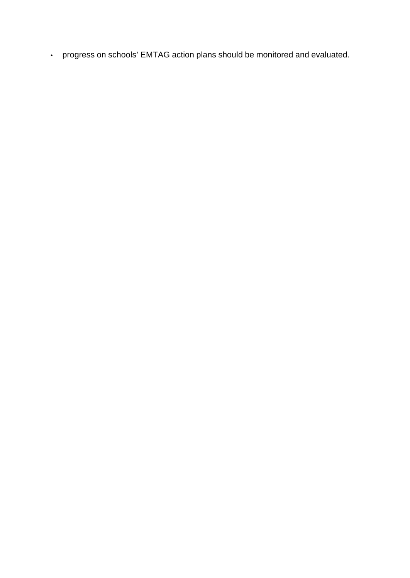• progress on schools' EMTAG action plans should be monitored and evaluated.